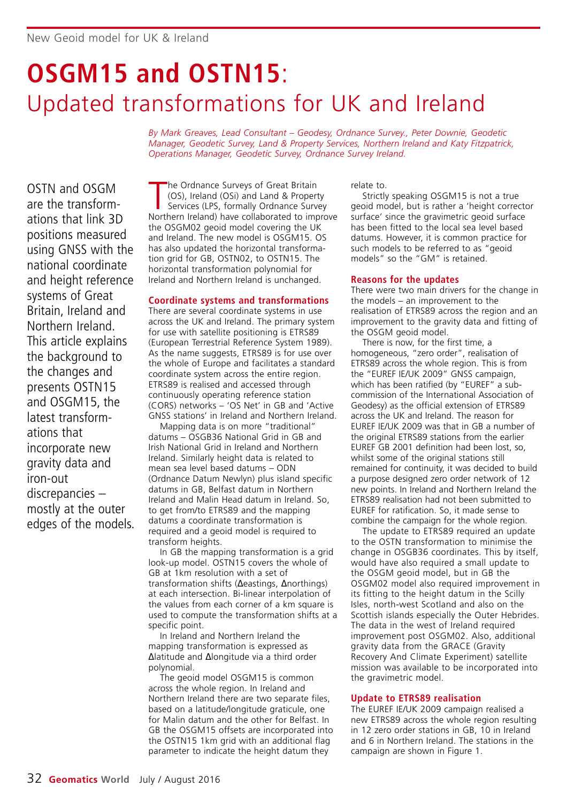# **OSGM15 and OSTN15**: Updated transformations for UK and Ireland

*By Mark Greaves, Lead Consultant – Geodesy, Ordnance Survey., Peter Downie, Geodetic Manager, Geodetic Survey, Land & Property Services, Northern Ireland and Katy Fitzpatrick, Operations Manager, Geodetic Survey, Ordnance Survey Ireland.*

OSTN and OSGM are the transform ations that link 3D positions measured using GNSS with the national coordinate and height reference systems of Great Britain, Ireland and Northern Ireland. This article explains the background to the changes and presents OSTN15 and OSGM15, the latest transformations that incorporate new gravity data and iron-out discrepancies – mostly at the outer edges of the models.

The Ordnance Surveys of Great Britain<br>
(OS), Ireland (OSi) and Land & Property<br>
Services (LPS, formally Ordnance Survey<br>
Northern Ireland) have collaborated to improve he Ordnance Surveys of Great Britain (OS), Ireland (OSi) and Land & Property Services (LPS, formally Ordnance Survey the OSGM02 geoid model covering the UK and Ireland. The new model is OSGM15. OS has also updated the horizontal transformation grid for GB, OSTN02, to OSTN15. The horizontal transformation polynomial for Ireland and Northern Ireland is unchanged.

# **Coordinate systems and transformations**

There are several coordinate systems in use across the UK and Ireland. The primary system for use with satellite positioning is ETRS89 (European Terrestrial Reference System 1989). As the name suggests, ETRS89 is for use over the whole of Europe and facilitates a standard coordinate system across the entire region. ETRS89 is realised and accessed through continuously operating reference station (CORS) networks – 'OS Net' in GB and 'Active GNSS stations' in Ireland and Northern Ireland.

Mapping data is on more "traditional" datums – OSGB36 National Grid in GB and Irish National Grid in Ireland and Northern Ireland. Similarly height data is related to mean sea level based datums – ODN (Ordnance Datum Newlyn) plus island specific datums in GB, Belfast datum in Northern Ireland and Malin Head datum in Ireland. So, to get from/to ETRS89 and the mapping datums a coordinate transformation is required and a geoid model is required to transform heights.

In GB the mapping transformation is a grid look-up model. OSTN15 covers the whole of GB at 1km resolution with a set of transformation shifts (∆eastings, ∆northings) at each intersection. Bi-linear interpolation of the values from each corner of a km square is used to compute the transformation shifts at a specific point.

In Ireland and Northern Ireland the mapping transformation is expressed as ∆latitude and ∆longitude via a third order polynomial.

The geoid model OSGM15 is common across the whole region. In Ireland and Northern Ireland there are two separate files, based on a latitude/longitude graticule, one for Malin datum and the other for Belfast. In GB the OSGM15 offsets are incorporated into the OSTN15 1km grid with an additional flag parameter to indicate the height datum they

relate to.

Strictly speaking OSGM15 is not a true geoid model, but is rather a 'height corrector surface' since the gravimetric geoid surface has been fitted to the local sea level based datums. However, it is common practice for such models to be referred to as "geoid models" so the "GM" is retained.

# **Reasons for the updates**

There were two main drivers for the change in the models – an improvement to the realisation of ETRS89 across the region and an improvement to the gravity data and fitting of the OSGM geoid model.

There is now, for the first time, a homogeneous, "zero order", realisation of ETRS89 across the whole region. This is from the "EUREF IE/UK 2009" GNSS campaign, which has been ratified (by "EUREF" a subcommission of the International Association of Geodesy) as the official extension of ETRS89 across the UK and Ireland. The reason for EUREF IE/UK 2009 was that in GB a number of the original ETRS89 stations from the earlier EUREF GB 2001 definition had been lost, so, whilst some of the original stations still remained for continuity, it was decided to build a purpose designed zero order network of 12 new points. In Ireland and Northern Ireland the ETRS89 realisation had not been submitted to EUREF for ratification. So, it made sense to combine the campaign for the whole region.

The update to ETRS89 required an update to the OSTN transformation to minimise the change in OSGB36 coordinates. This by itself, would have also required a small update to the OSGM geoid model, but in GB the OSGM02 model also required improvement in its fitting to the height datum in the Scilly Isles, north-west Scotland and also on the Scottish islands especially the Outer Hebrides. The data in the west of Ireland required improvement post OSGM02. Also, additional gravity data from the GRACE (Gravity Recovery And Climate Experiment) satellite mission was available to be incorporated into the gravimetric model.

# **Update to ETRS89 realisation**

The EUREF IE/UK 2009 campaign realised a new ETRS89 across the whole region resulting in 12 zero order stations in GB, 10 in Ireland and 6 in Northern Ireland. The stations in the campaign are shown in Figure 1.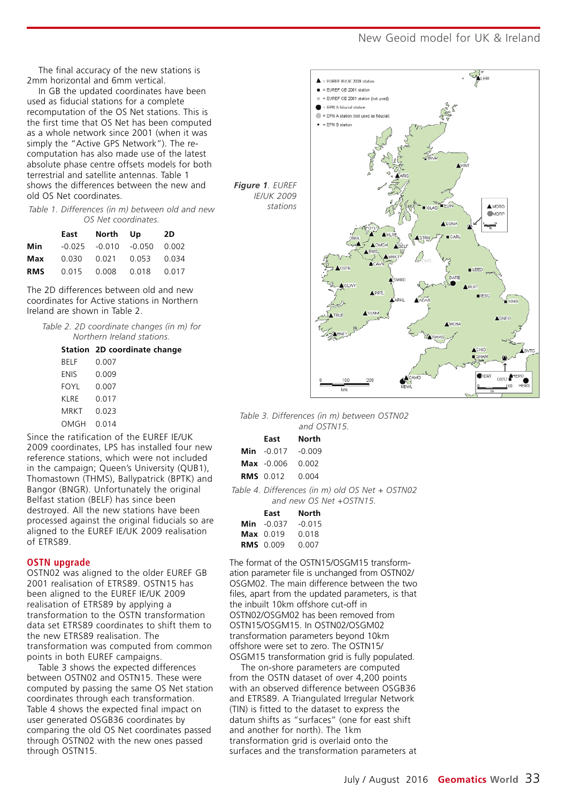# New Geoid model for UK & Ireland

The final accuracy of the new stations is 2mm horizontal and 6mm vertical.

In GB the updated coordinates have been used as fiducial stations for a complete recomputation of the OS Net stations. This is the first time that OS Net has been computed as a whole network since 2001 (when it was simply the "Active GPS Network"). The recomputation has also made use of the latest absolute phase centre offsets models for both terrestrial and satellite antennas. Table 1 shows the differences between the new and old OS Net coordinates.

*Table 1. Differences (in m) between old and new OS Net coordinates.*

|            |                            | East North Up              | 2D    |
|------------|----------------------------|----------------------------|-------|
| Min        |                            | $-0.025$ $-0.010$ $-0.050$ | 0.002 |
| Max        | 0.030  0.021  0.053  0.034 |                            |       |
| <b>RMS</b> |                            | 0.015  0.008  0.018        | 0.017 |

The 2D differences between old and new coordinates for Active stations in Northern Ireland are shown in Table 2.

*Table 2. 2D coordinate changes (in m) for Northern Ireland stations.*

#### **Station 2D coordinate change**

| BELF  | ი იი⁊ |
|-------|-------|
| ENIS  | 0.009 |
| FOYL  | ი იი⁊ |
| KI RF | 0 017 |
| MRKT  | 0 023 |
| OMGH  | 0.014 |

Since the ratification of the EUREF IE/UK 2009 coordinates, LPS has installed four new reference stations, which were not included in the campaign; Queen's University (QUB1), Thomastown (THMS), Ballypatrick (BPTK) and Bangor (BNGR). Unfortunately the original Belfast station (BELF) has since been destroyed. All the new stations have been processed against the original fiducials so are aligned to the EUREF IE/UK 2009 realisation of ETRS89.

#### **OSTN upgrade**

OSTN02 was aligned to the older EUREF GB 2001 realisation of ETRS89. OSTN15 has been aligned to the EUREF IE/UK 2009 realisation of ETRS89 by applying a transformation to the OSTN transformation data set ETRS89 coordinates to shift them to the new ETRS89 realisation. The transformation was computed from common points in both EUREF campaigns.

Table 3 shows the expected differences between OSTN02 and OSTN15. These were computed by passing the same OS Net station coordinates through each transformation. Table 4 shows the expected final impact on user generated OSGB36 coordinates by comparing the old OS Net coordinates passed through OSTN02 with the new ones passed through OSTN15.



*Table 3. Differences (in m) between OSTN02 and OSTN15.*

| East North                   |                                                                            |
|------------------------------|----------------------------------------------------------------------------|
| <b>Min</b> $-0.017$ $-0.009$ |                                                                            |
| <b>Max</b> $-0.006$ 0.002    |                                                                            |
| <b>RMS</b> 0.012 0.004       |                                                                            |
|                              | Table 4. Differences (in m) old OS Net + OSTN02<br>and new OS Net +OSTN15. |
|                              |                                                                            |

| East                | North    |
|---------------------|----------|
| <b>Min</b> $-0.037$ | $-0.015$ |
| $Max$ 0.019         | 0.018    |
| <b>RMS</b> 0.009    | ი იი⁊    |

The format of the OSTN15/OSGM15 transformation parameter file is unchanged from OSTN02/ OSGM02. The main difference between the two files, apart from the updated parameters, is that the inbuilt 10km offshore cut-off in OSTN02/OSGM02 has been removed from OSTN15/OSGM15. In OSTN02/OSGM02 transformation parameters beyond 10km offshore were set to zero. The OSTN15/ OSGM15 transformation grid is fully populated.

The on-shore parameters are computed from the OSTN dataset of over 4,200 points with an observed difference between OSGB36 and ETRS89. A Triangulated Irregular Network (TIN) is fitted to the dataset to express the datum shifts as "surfaces" (one for east shift and another for north). The 1km transformation grid is overlaid onto the surfaces and the transformation parameters at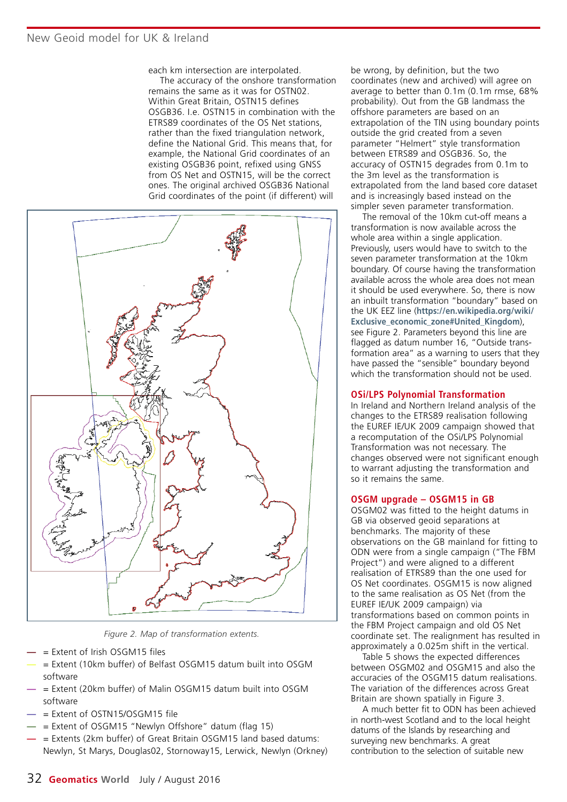each km intersection are interpolated.

The accuracy of the onshore transformation remains the same as it was for OSTN02. Within Great Britain, OSTN15 defines OSGB36. I.e. OSTN15 in combination with the ETRS89 coordinates of the OS Net stations, rather than the fixed triangulation network, define the National Grid. This means that, for example, the National Grid coordinates of an existing OSGB36 point, refixed using GNSS from OS Net and OSTN15, will be the correct ones. The original archived OSGB36 National Grid coordinates of the point (if different) will



*Figure 2. Map of transformation extents.*

- **—** = Extent of Irish OSGM15 files
- **—** = Extent (10km buffer) of Belfast OSGM15 datum built into OSGM software
- **—** = Extent (20km buffer) of Malin OSGM15 datum built into OSGM software
- **—** = Extent of OSTN15/OSGM15 file
- **—** = Extent of OSGM15 "Newlyn Offshore" datum (flag 15)
- **—** = Extents (2km buffer) of Great Britain OSGM15 land based datums: Newlyn, St Marys, Douglas02, Stornoway15, Lerwick, Newlyn (Orkney)

be wrong, by definition, but the two coordinates (new and archived) will agree on average to better than 0.1m (0.1m rmse, 68% probability). Out from the GB landmass the offshore parameters are based on an extrapolation of the TIN using boundary points outside the grid created from a seven parameter "Helmert" style transformation between ETRS89 and OSGB36. So, the accuracy of OSTN15 degrades from 0.1m to the 3m level as the transformation is extrapolated from the land based core dataset and is increasingly based instead on the simpler seven parameter transformation.

The removal of the 10km cut-off means a transformation is now available across the whole area within a single application. Previously, users would have to switch to the seven parameter transformation at the 10km boundary. Of course having the transformation available across the whole area does not mean it should be used everywhere. So, there is now an inbuilt transformation "boundary" based on the UK EEZ line (**https://en.wikipedia.org/wiki/ Exclusive\_economic\_zone#United\_Kingdom**), see Figure 2. Parameters beyond this line are flagged as datum number 16, "Outside transformation area" as a warning to users that they have passed the "sensible" boundary beyond which the transformation should not be used.

#### **OSi/LPS Polynomial Transformation**

In Ireland and Northern Ireland analysis of the changes to the ETRS89 realisation following the EUREF IE/UK 2009 campaign showed that a recomputation of the OSi/LPS Polynomial Transformation was not necessary. The changes observed were not significant enough to warrant adjusting the transformation and so it remains the same.

#### **OSGM upgrade – OSGM15 in GB**

OSGM02 was fitted to the height datums in GB via observed geoid separations at benchmarks. The majority of these observations on the GB mainland for fitting to ODN were from a single campaign ("The FBM Project") and were aligned to a different realisation of ETRS89 than the one used for OS Net coordinates. OSGM15 is now aligned to the same realisation as OS Net (from the EUREF IE/UK 2009 campaign) via transformations based on common points in the FBM Project campaign and old OS Net coordinate set. The realignment has resulted in approximately a 0.025m shift in the vertical.

Table 5 shows the expected differences between OSGM02 and OSGM15 and also the accuracies of the OSGM15 datum realisations. The variation of the differences across Great Britain are shown spatially in Figure 3.

A much better fit to ODN has been achieved in north-west Scotland and to the local height datums of the Islands by researching and surveying new benchmarks. A great contribution to the selection of suitable new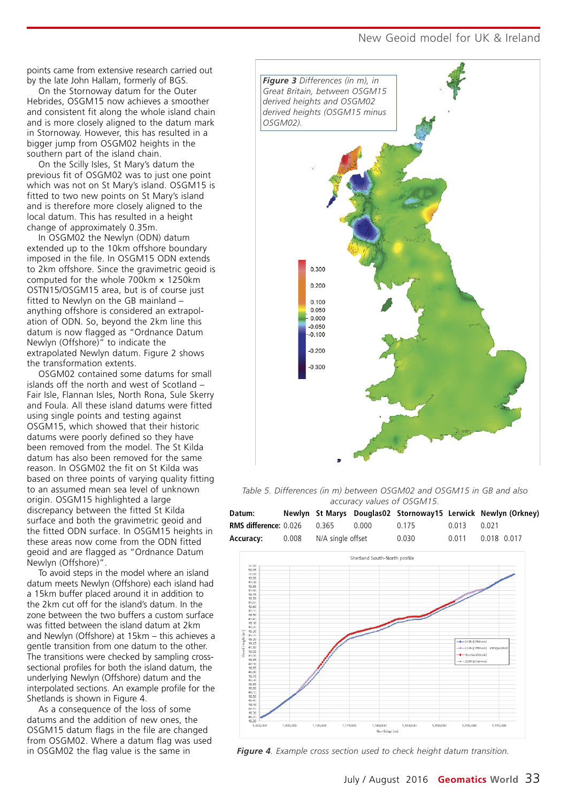New Geoid model for UK & Ireland

points came from extensive research carried out by the late John Hallam, formerly of BGS.

On the Stornoway datum for the Outer Hebrides, OSGM15 now achieves a smoother and consistent fit along the whole island chain and is more closely aligned to the datum mark in Stornoway. However, this has resulted in a bigger jump from OSGM02 heights in the southern part of the island chain.

On the Scilly Isles, St Mary's datum the previous fit of OSGM02 was to just one point which was not on St Mary's island. OSGM15 is fitted to two new points on St Mary's island and is therefore more closely aligned to the local datum. This has resulted in a height change of approximately 0.35m.

In OSGM02 the Newlyn (ODN) datum extended up to the 10km offshore boundary imposed in the file. In OSGM15 ODN extends to 2km offshore. Since the gravimetric geoid is computed for the whole 700km × 1250km OSTN15/OSGM15 area, but is of course just fitted to Newlyn on the GB mainland – anything offshore is considered an extrapolation of ODN. So, beyond the 2km line this datum is now flagged as "Ordnance Datum Newlyn (Offshore)" to indicate the extrapolated Newlyn datum. Figure 2 shows the transformation extents.

OSGM02 contained some datums for small islands off the north and west of Scotland – Fair Isle, Flannan Isles, North Rona, Sule Skerry and Foula. All these island datums were fitted using single points and testing against OSGM15, which showed that their historic datums were poorly defined so they have been removed from the model. The St Kilda datum has also been removed for the same reason. In OSGM02 the fit on St Kilda was based on three points of varying quality fitting to an assumed mean sea level of unknown origin. OSGM15 highlighted a large discrepancy between the fitted St Kilda surface and both the gravimetric geoid and the fitted ODN surface. In OSGM15 heights in these areas now come from the ODN fitted geoid and are flagged as "Ordnance Datum Newlyn (Offshore)".

To avoid steps in the model where an island datum meets Newlyn (Offshore) each island had a 15km buffer placed around it in addition to the 2km cut off for the island's datum. In the zone between the two buffers a custom surface was fitted between the island datum at 2km and Newlyn (Offshore) at 15km – this achieves a gentle transition from one datum to the other. The transitions were checked by sampling crosssectional profiles for both the island datum, the underlying Newlyn (Offshore) datum and the interpolated sections. An example profile for the Shetlands is shown in Figure 4.

As a consequence of the loss of some datums and the addition of new ones, the OSGM15 datum flags in the file are changed from OSGM02. Where a datum flag was used in OSGM02 the flag value is the same in



*Table 5. Differences (in m) between OSGM02 and OSGM15 in GB and also accuracy values of OSGM15.* 



*Figure 4. Example cross section used to check height datum transition.*